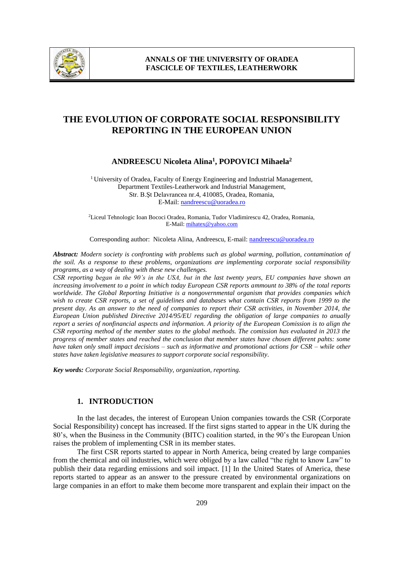

# **THE EVOLUTION OF CORPORATE SOCIAL RESPONSIBILITY REPORTING IN THE EUROPEAN UNION**

## **ANDREESCU Nicoleta Alina<sup>1</sup> , POPOVICI Mihaela<sup>2</sup>**

<sup>1</sup> University of Oradea, Faculty of Energy Engineering and Industrial Management, Department Textiles-Leatherwork and Industrial Management, Str. B.Şt Delavrancea nr.4, 410085, Oradea, Romania, E-Mail: [nandreescu@uoradea.ro](mailto:nandreescu@uoradea.ro)

<sup>2</sup>Liceul Tehnologic Ioan Bococi Oradea, Romania, Tudor Vladimirescu 42, Oradea, Romania, E-Mail: mihatex@yahoo.com

Corresponding author: Nicoleta Alina, Andreescu, E-mail: nandreescu@uoradea.ro

*Abstract: Modern society is confronting with problems such as global warming, pollution, contamination of the soil. As a response to these problems, organizations are implementing corporate social responsibility programs, as a way of dealing with these new challenges.*

*CSR reporting began in the 90's in the USA, but in the last twenty years, EU companies have shown an increasing involvement to a point in which today European CSR reports ammount to 38% of the total reports worldwide. The Global Reporting Initiative is a nongovernmental organism that provides companies which wish to create CSR reports, a set of guidelines and databases what contain CSR reports from 1999 to the present day. As an answer to the need of companies to report their CSR activities, in November 2014, the European Union published Directive 2014/95/EU regarding the obligation of large companies to anually report a series of nonfinancial aspects and information. A priority of the European Comission is to align the CSR reporting method of the member states to the global methods. The comission has evaluated in 2013 the progress of member states and reached the conclusion that member states have chosen different pahts: some have taken only small impact decisions – such as informative and promotional actions for CSR – while other states have taken legislative measures to support corporate social responsibility.*

*Key words: Corporate Social Responsability, organization, reporting.*

#### **1. INTRODUCTION**

In the last decades, the interest of European Union companies towards the CSR (Corporate Social Responsibility) concept has increased. If the first signs started to appear in the UK during the 80's, when the Business in the Community (BITC) coalition started, in the 90's the European Union raises the problem of implementing CSR in its member states.

The first CSR reports started to appear in North America, being created by large companies from the chemical and oil industries, which were obliged by a law called "the right to know Law" to publish their data regarding emissions and soil impact. [1] In the United States of America, these reports started to appear as an answer to the pressure created by environmental organizations on large companies in an effort to make them become more transparent and explain their impact on the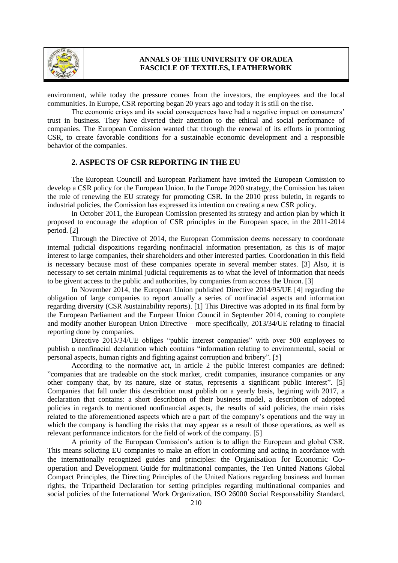

## **ANNALS OF THE UNIVERSITY OF ORADEA FASCICLE OF TEXTILES, LEATHERWORK**

environment, while today the pressure comes from the investors, the employees and the local communities. In Europe, CSR reporting began 20 years ago and today it is still on the rise.

The economic crisys and its social consequences have had a negative impact on consumers' trust in business. They have diverted their attention to the ethical and social performance of companies. The European Comission wanted that through the renewal of its efforts in promoting CSR, to create favorable conditions for a sustainable economic development and a responsible behavior of the companies.

#### **2. ASPECTS OF CSR REPORTING IN THE EU**

The European Councill and European Parliament have invited the European Comission to develop a CSR policy for the European Union. In the Europe 2020 strategy, the Comission has taken the role of renewing the EU strategy for promoting CSR. In the 2010 press buletin, in regards to industrial policies, the Comission has expressed its intention on creating a new CSR policy.

In October 2011, the European Comission presented its strategy and action plan by which it proposed to encourage the adoption of CSR principles in the European space, in the 2011-2014 period. [2]

Through the Directive of 2014, the European Commission deems necessary to coordonate internal judicial dispozitions regarding nonfinacial information presentation, as this is of major interest to large companies, their shareholders and other interested parties. Coordonation in this field is necessary because most of these companies operate in several member states. [3] Also, it is necessary to set certain minimal judicial requirements as to what the level of information that needs to be givent access to the public and authorities, by companies from accross the Union. [3]

In November 2014, the European Union published Directive 2014/95/UE [4] regarding the obligation of large companies to report anually a series of nonfinacial aspects and information regarding diversity (CSR /sustainability reports). [1] This Directive was adopted in its final form by the European Parliament and the Eurpean Union Council in September 2014, coming to complete and modify another European Union Directive – more specifically, 2013/34/UE relating to finacial reporting done by companies.

Directive 2013/34/UE obliges "public interest companies" with over 500 employees to publish a nonfinacial declaration which contains "information relating to environmental, social or personal aspects, human rights and fighting against corruption and bribery". [5]

According to the normative act, in article 2 the public interest companies are defined: "companies that are tradeable on the stock market, credit companies, insurance companies or any other company that, by its nature, size or status, represents a significant public interest". [5] Companies that fall under this describtion must publish on a yearly basis, begining with 2017, a declaration that contains: a short describtion of their business model, a describtion of adopted policies in regards to mentioned nonfinancial aspects, the results of said policies, the main risks related to the aforementioned aspects which are a part of the company's operations and the way in which the company is handling the risks that may appear as a result of those operations, as well as relevant performance indicators for the field of work of the company. [5]

A priority of the European Comission's action is to allign the European and global CSR. This means solicting EU companies to make an effort in conforming and acting in acordance with the internationally recognized guides and principles: the Organisation for Economic Cooperation and Development Guide for multinational companies, the Ten United Nations Global Compact Principles, the Directing Principles of the United Nations regarding business and human rights, the Tripartheid Declaration for setting principles regarding multinational companies and social policies of the International Work Organization, ISO 26000 Social Responsability Standard,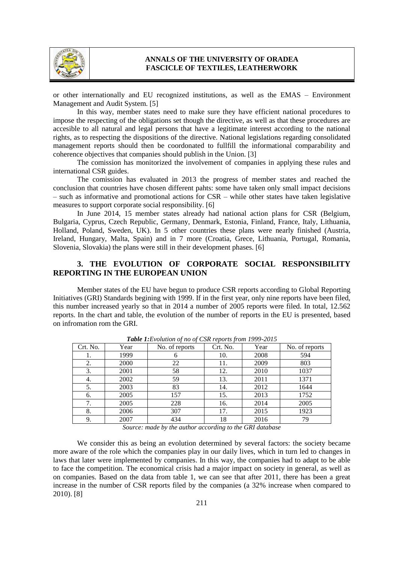

#### **ANNALS OF THE UNIVERSITY OF ORADEA FASCICLE OF TEXTILES, LEATHERWORK**

or other internationally and EU recognized institutions, as well as the EMAS – Environment Management and Audit System. [5]

In this way, member states need to make sure they have efficient national procedures to impose the respecting of the obligations set though the directive, as well as that these procedures are accesible to all natural and legal persons that have a legitimate interest according to the national rights, as to respecting the dispositions of the directive. National legislations regarding consolidated management reports should then be coordonated to fullfill the informational comparability and coherence objectives that companies should publish in the Union. [3]

The comission has monitorized the involvement of companies in applying these rules and international CSR guides.

The comission has evaluated in 2013 the progress of member states and reached the conclusion that countries have chosen different pahts: some have taken only small impact decisions  $-$  such as informative and promotional actions for CSR  $-$  while other states have taken legislative measures to support corporate social responsibility. [6]

In June 2014, 15 member states already had national action plans for CSR (Belgium, Bulgaria, Cyprus, Czech Republic, Germany, Denmark, Estonia, Finland, France, Italy, Lithuania, Holland, Poland, Sweden, UK). In 5 other countries these plans were nearly finished (Austria, Ireland, Hungary, Malta, Spain) and in 7 more (Croatia, Grece, Lithuania, Portugal, Romania, Slovenia, Slovakia) the plans were still in their development phases. [6]

## **3. THE EVOLUTION OF CORPORATE SOCIAL RESPONSIBILITY REPORTING IN THE EUROPEAN UNION**

Member states of the EU have begun to produce CSR reports according to Global Reporting Initiatives (GRI) Standards begining with 1999. If in the first year, only nine reports have been filed, this number increased yearly so that in 2014 a number of 2005 reports were filed. In total, 12.562 reports. In the chart and table, the evolution of the number of reports in the EU is presented, based on infromation rom the GRI.

| Crt. No. | Year | No. of reports | Crt. No. | Year | No. of reports |
|----------|------|----------------|----------|------|----------------|
| 1.       | 1999 |                | 10.      | 2008 | 594            |
| 2.       | 2000 | 22             | 11.      | 2009 | 803            |
| 3.       | 2001 | 58             | 12.      | 2010 | 1037           |
| 4.       | 2002 | 59             | 13.      | 2011 | 1371           |
| 5.       | 2003 | 83             | 14.      | 2012 | 1644           |
| 6.       | 2005 | 157            | 15.      | 2013 | 1752           |
| 7.       | 2005 | 228            | 16.      | 2014 | 2005           |
| 8.       | 2006 | 307            | 17.      | 2015 | 1923           |
| 9.       | 2007 | 434            | 18       | 2016 | 79             |

*Table 1:Evolution of no of CSR reports from 1999-2015*

*Source: made by the author according to the GRI database*

We consider this as being an evolution determined by several factors: the society became more aware of the role which the companies play in our daily lives, which in turn led to changes in laws that later were implemented by companies. In this way, the companies had to adapt to be able to face the competition. The economical crisis had a major impact on society in general, as well as on companies. Based on the data from table 1, we can see that after 2011, there has been a great increase in the number of CSR reports filed by the companies (a 32% increase when compared to 2010). [8]